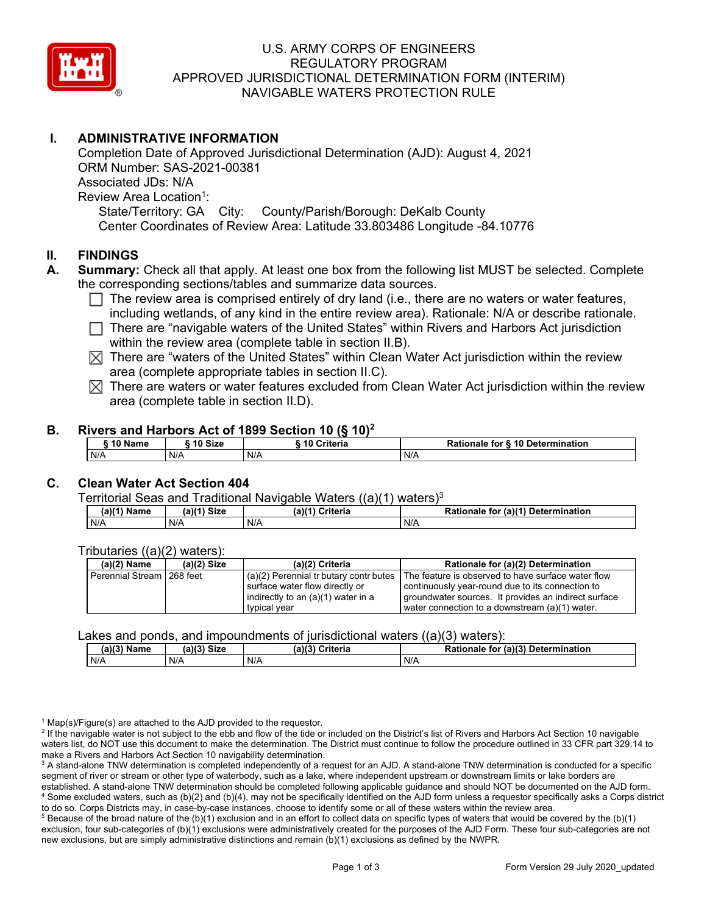

# U.S. ARMY CORPS OF ENGINEERS REGULATORY PROGRAM APPROVED JURISDICTIONAL DETERMINATION FORM (INTERIM) NAVIGABLE WATERS PROTECTION RULE

# **I. ADMINISTRATIVE INFORMATION**

Associated JDs: N/A Completion Date of Approved Jurisdictional Determination (AJD): August 4, 2021 ORM Number: SAS-2021-00381 Review Area Location<sup>1</sup>: State/Territory: GA City: County/Parish/Borough: DeKalb County Center Coordinates of Review Area: Latitude 33.803486 Longitude -84.10776

## **II. FINDINGS**

- **A. Summary:** Check all that apply. At least one box from the following list MUST be selected. Complete the corresponding sections/tables and summarize data sources.
	- $\Box$  The review area is comprised entirely of dry land (i.e., there are no waters or water features, including wetlands, of any kind in the entire review area). Detianals  $M/\sqrt{a}$  at describe rationals including wetlands, of any kind in the entire review area). Rationale: N/A or describe rationale.
	- □ There are "navigable waters of the United States" within Rivers and Harbors Act jurisdiction within the review area (complete table in section II.B).
	- $\boxtimes$  There are "waters of the United States" within Clean Water Act jurisdiction within the review area (complete appropriate tables in section II.C).
	- $\boxtimes$  There are waters or water features excluded from Clean Water Act jurisdiction within the review area (complete table in section II.D).

### **B. Rivers and Harbors Act of 1899 Section 10 (§ 10)<sup>2</sup>**

| <sub>ີ</sub> 10 Name | ີ <sup>10</sup> Size | <b>Criteria</b> | Rationale for § 10 Determination |  |
|----------------------|----------------------|-----------------|----------------------------------|--|
| N/A                  | N/A                  | N/A             | N/A                              |  |

## **C. Clean Water Act Section 404**

| Territorial Seas and Traditional Navigable Waters ((a)(1) waters) $3$ |  |  |  |  |
|-----------------------------------------------------------------------|--|--|--|--|
|-----------------------------------------------------------------------|--|--|--|--|

| . .<br>$(a)$ $(1)$<br>Name | <b>ALL</b><br><b>Size</b> | (a)(1)<br>Criteria | $\mathsf{u}$ r (a) $\mathsf{f}^{\mathsf{a} \mathsf{b}}$<br><b>Determination</b><br>Rationale<br>tor |
|----------------------------|---------------------------|--------------------|-----------------------------------------------------------------------------------------------------|
| N/A                        | N/A                       | N/A                | N/A                                                                                                 |

#### Tributaries ((a)(2) waters):

| Perennial Stream   268 feet<br>$(a)(2)$ Perennial tr butary contr butes   The feature is observed to have surface water flow<br>surface water flow directly or<br>continuously year-round due to its connection to<br>indirectly to an (a)(1) water in a<br>groundwater sources. It provides an indirect surface | $(a)(2)$ Name | $(a)(2)$ Size | (a)(2) Criteria | Rationale for (a)(2) Determination             |
|------------------------------------------------------------------------------------------------------------------------------------------------------------------------------------------------------------------------------------------------------------------------------------------------------------------|---------------|---------------|-----------------|------------------------------------------------|
|                                                                                                                                                                                                                                                                                                                  |               |               |                 |                                                |
|                                                                                                                                                                                                                                                                                                                  |               |               |                 |                                                |
|                                                                                                                                                                                                                                                                                                                  |               |               |                 |                                                |
|                                                                                                                                                                                                                                                                                                                  |               |               | typical year    | water connection to a downstream (a)(1) water. |

#### Lakes and ponds, and impoundments of jurisdictional waters ((a)(3) waters):

| --------------- |             |                      | .                                  |
|-----------------|-------------|----------------------|------------------------------------|
| $(a)(3)$ Name   | (a)(3) Size | (a)(3) (<br>Criteria | Rationale for (a)(3) Determination |
| N/A             | N/A         | N/A                  | N/A                                |

 $1$  Map(s)/Figure(s) are attached to the AJD provided to the requestor.

<sup>2</sup> If the navigable water is not subject to the ebb and flow of the tide or included on the District's list of Rivers and Harbors Act Section 10 navigable waters list, do NOT use this document to make the determination. The District must continue to follow the procedure outlined in 33 CFR part 329.14 to make a Rivers and Harbors Act Section 10 navigability determination.

 $^3$  A stand-alone TNW determination is completed independently of a request for an AJD. A stand-alone TNW determination is conducted for a specific segment of river or stream or other type of waterbody, such as a lake, where independent upstream or downstream limits or lake borders are established. A stand-alone TNW determination should be completed following applicable guidance and should NOT be documented on the AJD form. 4 Some excluded waters, such as (b)(2) and (b)(4), may not be specifically identified on the AJD form unless a requestor specifically asks a Corps district to do so. Corps Districts may, in case-by-case instances, choose to identify some or all of these waters within the review area.

 $^5$  Because of the broad nature of the (b)(1) exclusion and in an effort to collect data on specific types of waters that would be covered by the (b)(1) exclusion, four sub-categories of (b)(1) exclusions were administratively created for the purposes of the AJD Form. These four sub-categories are not new exclusions, but are simply administrative distinctions and remain (b)(1) exclusions as defined by the NWPR.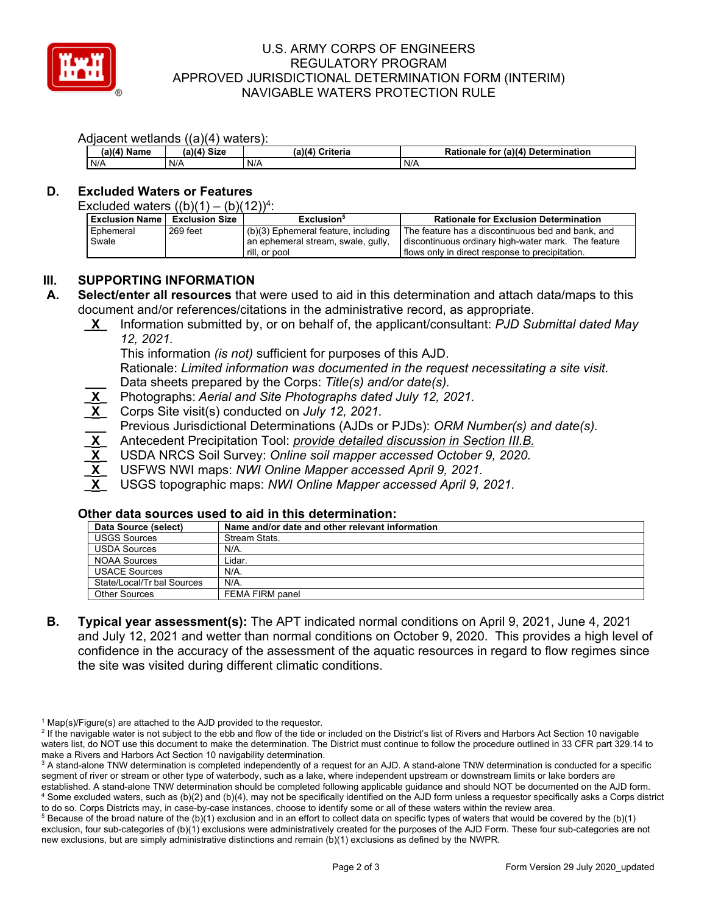

## U.S. ARMY CORPS OF ENGINEERS REGULATORY PROGRAM APPROVED JURISDICTIONAL DETERMINATION FORM (INTERIM) NAVIGABLE WATERS PROTECTION RULE

#### Adjacent wetlands ((a)(4) waters):

| $(a)(4)$ Name | .<br>(a)(4) Size | .<br>Criteria<br>(a)(4) | Rationale for (a)(4) Determination |
|---------------|------------------|-------------------------|------------------------------------|
| N/A           | N/A              | N/A                     | $N/\ell$                           |

# **D. Excluded Waters or Features**

Excluded waters  $((b)(1) - (b)(12))^4$ :

| <b>Exclusion Name</b> | <b>Exclusion Size</b> | Exclusion <sup>5</sup>              | <b>Rationale for Exclusion Determination</b>        |
|-----------------------|-----------------------|-------------------------------------|-----------------------------------------------------|
| Ephemeral             | 269 feet              | (b)(3) Ephemeral feature, including | The feature has a discontinuous bed and bank, and   |
| Swale                 |                       | an ephemeral stream, swale, gully,  | discontinuous ordinary high-water mark. The feature |
|                       |                       | rill, or pool                       | flows only in direct response to precipitation.     |
|                       |                       |                                     |                                                     |

# **III. SUPPORTING INFORMATION**

**A. Select/enter all resources** that were used to aid in this determination and attach data/maps to this document and/or references/citations in the administrative record, as appropriate.

**\_X\_** Information submitted by, or on behalf of, the applicant/consultant: *PJD Submittal dated May 12, 2021.* 

This information *(is not)* sufficient for purposes of this AJD.

Rationale: *Limited information was documented in the request necessitating a site visit.*  **\_\_\_** Data sheets prepared by the Corps: *Title(s) and/or date(s).* 

- **\_X\_** Photographs: *Aerial and Site Photographs dated July 12, 2021.*
- **\_X\_** Corps Site visit(s) conducted on *July 12, 2021.*

**\_\_\_** Previous Jurisdictional Determinations (AJDs or PJDs): *ORM Number(s) and date(s).* 

- **\_X\_** Antecedent Precipitation Tool: *provide detailed discussion in Section III.B.*
- **\_X\_** USDA NRCS Soil Survey: *Online soil mapper accessed October 9, 2020.*
- **\_X\_** USFWS NWI maps: *NWI Online Mapper accessed April 9, 2021.*
- **\_X\_** USGS topographic maps: *NWI Online Mapper accessed April 9, 2021.*

### **Other data sources used to aid in this determination:**

| Data Source (select)       | Name and/or date and other relevant information |
|----------------------------|-------------------------------------------------|
| <b>USGS Sources</b>        | Stream Stats.                                   |
| <b>USDA Sources</b>        | N/A.                                            |
| <b>NOAA Sources</b>        | Lidar.                                          |
| <b>USACE Sources</b>       | N/A.                                            |
| State/Local/Tr bal Sources | $N/A$ .                                         |
| <b>Other Sources</b>       | FEMA FIRM panel                                 |

 and July 12, 2021 and wetter than normal conditions on October 9, 2020. This provides a high level of **B. Typical year assessment(s):** The APT indicated normal conditions on April 9, 2021, June 4, 2021 confidence in the accuracy of the assessment of the aquatic resources in regard to flow regimes since the site was visited during different climatic conditions.

 $1$  Map(s)/Figure(s) are attached to the AJD provided to the requestor.

<sup>&</sup>lt;sup>2</sup> If the navigable water is not subject to the ebb and flow of the tide or included on the District's list of Rivers and Harbors Act Section 10 navigable waters list, do NOT use this document to make the determination. The District must continue to follow the procedure outlined in 33 CFR part 329.14 to make a Rivers and Harbors Act Section 10 navigability determination.

 $^3$  A stand-alone TNW determination is completed independently of a request for an AJD. A stand-alone TNW determination is conducted for a specific segment of river or stream or other type of waterbody, such as a lake, where independent upstream or downstream limits or lake borders are established. A stand-alone TNW determination should be completed following applicable guidance and should NOT be documented on the AJD form. 4 Some excluded waters, such as (b)(2) and (b)(4), may not be specifically identified on the AJD form unless a requestor specifically asks a Corps district

to do so. Corps Districts may, in case-by-case instances, choose to identify some or all of these waters within the review area.  $^5$  Because of the broad nature of the (b)(1) exclusion and in an effort to collect data on specific types of waters that would be covered by the (b)(1) exclusion, four sub-categories of (b)(1) exclusions were administratively created for the purposes of the AJD Form. These four sub-categories are not new exclusions, but are simply administrative distinctions and remain (b)(1) exclusions as defined by the NWPR.